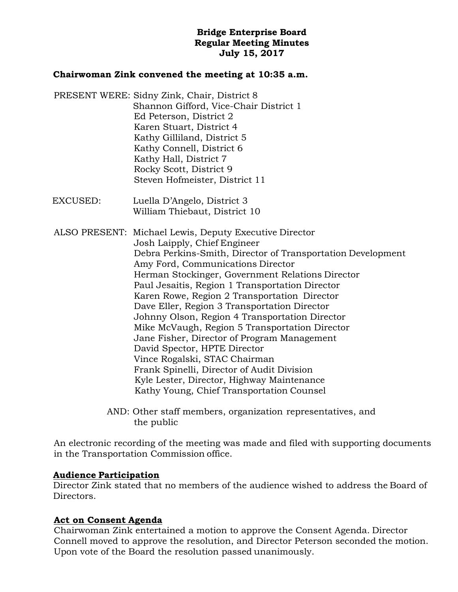# **Bridge Enterprise Board Regular Meeting Minutes July 15, 2017**

## **Chairwoman Zink convened the meeting at 10:35 a.m.**

- PRESENT WERE: Sidny Zink, Chair, District 8 Shannon Gifford, Vice-Chair District 1 Ed Peterson, District 2 Karen Stuart, District 4 Kathy Gilliland, District 5 Kathy Connell, District 6 Kathy Hall, District 7 Rocky Scott, District 9 Steven Hofmeister, District 11
- EXCUSED: Luella D'Angelo, District 3 William Thiebaut, District 10

ALSO PRESENT: Michael Lewis, Deputy Executive Director Josh Laipply, Chief Engineer Debra Perkins-Smith, Director of Transportation Development Amy Ford, Communications Director Herman Stockinger, Government Relations Director Paul Jesaitis, Region 1 Transportation Director Karen Rowe, Region 2 Transportation Director Dave Eller, Region 3 Transportation Director Johnny Olson, Region 4 Transportation Director Mike McVaugh, Region 5 Transportation Director Jane Fisher, Director of Program Management David Spector, HPTE Director Vince Rogalski, STAC Chairman Frank Spinelli, Director of Audit Division Kyle Lester, Director, Highway Maintenance Kathy Young, Chief Transportation Counsel

> AND: Other staff members, organization representatives, and the public

An electronic recording of the meeting was made and filed with supporting documents in the Transportation Commission office.

## **Audience Participation**

Director Zink stated that no members of the audience wished to address the Board of Directors.

# **Act on Consent Agenda**

Chairwoman Zink entertained a motion to approve the Consent Agenda. Director Connell moved to approve the resolution, and Director Peterson seconded the motion. Upon vote of the Board the resolution passed unanimously.